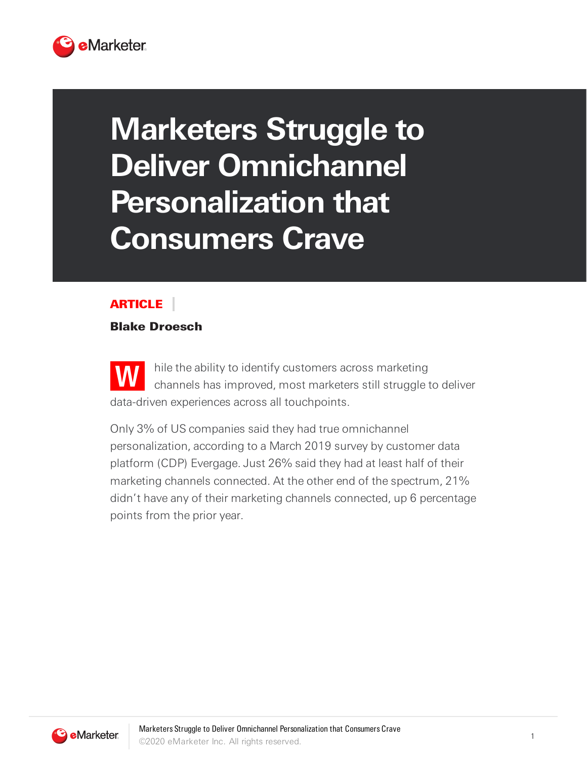

## **Marketers Struggle to Deliver Omnichannel Personalization that Consumers Crave**

## **ARTICLE**

## Blake Droesch

**W** hile the ability to identify customers across marketing channels has improved, most marketers still struggle to deliver data-driven experiences across all touchpoints.

Only 3% of US companies said they had true omnichannel personalization, according to a March 2019 survey by customer data platform (CDP) Evergage. Just 26% said they had at least half of their marketing channels connected. At the other end of the spectrum, 21% didn't have any of their marketing channels connected, up 6 percentage points from the prior year.

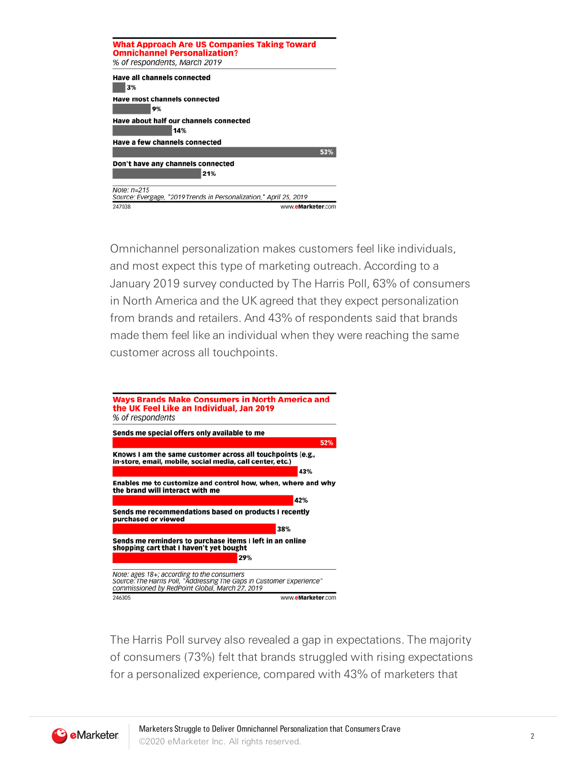| <b>What Approach Are US Companies Taking Toward</b><br><b>Omnichannel Personalization?</b><br>% of respondents, March 2019 |
|----------------------------------------------------------------------------------------------------------------------------|
| <b>Have all channels connected</b><br>3%                                                                                   |
| <b>Have most channels connected</b><br>9%                                                                                  |
| Have about half our channels connected                                                                                     |
| 14%                                                                                                                        |
| Have a few channels connected                                                                                              |
| 53%                                                                                                                        |
| Don't have any channels connected<br>21%                                                                                   |
| Note: n=215<br>Source: Evergage, "2019 Trends in Personalization," April 25, 2019                                          |
| www.eMarketer.com<br>247038                                                                                                |

Omnichannel personalization makes customers feel like individuals, and most expect this type of marketing outreach. According to a January 2019 survey conducted by The Harris Poll, 63% of consumers in North America and the UK agreed that they expect personalization from brands and retailers. And 43% of respondents said that brands made them feel like an individual when they were reaching the same customer across all touchpoints.



The Harris Poll survey also revealed a gap in expectations. The majority of consumers (73%) felt that brands struggled with rising expectations for a personalized experience, compared with 43% of marketers that